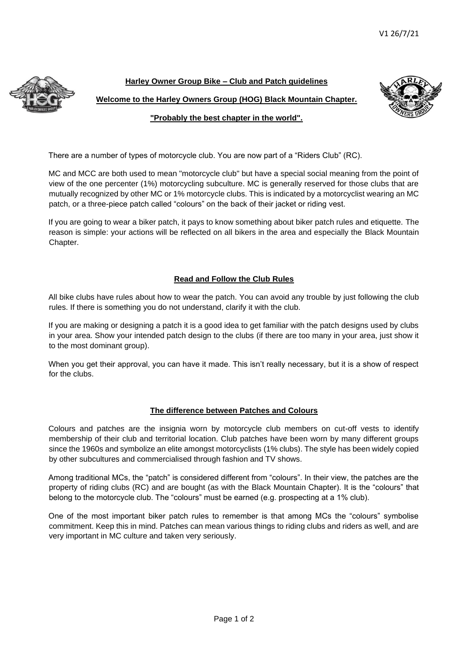

### **Harley Owner Group Bike – Club and Patch guidelines**

**Welcome to the Harley Owners Group (HOG) Black Mountain Chapter.** 



**"Probably the best chapter in the world".**

There are a number of types of motorcycle club. You are now part of a "Riders Club" (RC).

MC and MCC are both used to mean "motorcycle club" but have a special social meaning from the point of view of the one percenter (1%) motorcycling subculture. MC is generally reserved for those clubs that are mutually recognized by other MC or 1% motorcycle clubs. This is indicated by a motorcyclist wearing an MC patch, or a three-piece patch called "colours" on the back of their jacket or riding vest.

If you are going to wear a biker patch, it pays to know something about biker patch rules and etiquette. The reason is simple: your actions will be reflected on all bikers in the area and especially the Black Mountain Chapter.

# **Read and Follow the Club Rules**

All bike clubs have rules about how to wear the patch. You can avoid any trouble by just following the club rules. If there is something you do not understand, clarify it with the club.

If you are making or designing a patch it is a good idea to get familiar with the patch designs used by clubs in your area. Show your intended patch design to the clubs (if there are too many in your area, just show it to the most dominant group).

When you get their approval, you can have it made. This isn't really necessary, but it is a show of respect for the clubs.

### **The difference between Patches and Colours**

Colours and patches are the insignia worn by motorcycle club members on cut-off vests to identify membership of their club and territorial location. Club patches have been worn by many different groups since the 1960s and symbolize an elite amongst motorcyclists (1% clubs). The style has been widely copied by other subcultures and commercialised through fashion and TV shows.

Among traditional MCs, the "patch" is considered different from "colours". In their view, the patches are the property of riding clubs (RC) and are bought (as with the Black Mountain Chapter). It is the "colours" that belong to the motorcycle club. The "colours" must be earned (e.g. prospecting at a 1% club).

One of the most important biker patch rules to remember is that among MCs the "colours" symbolise commitment. Keep this in mind. Patches can mean various things to riding clubs and riders as well, and are very important in MC culture and taken very seriously.